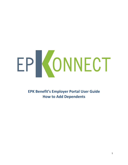## EPKONNECT

**EPK Benefit's Employer Portal User Guide How to Add Dependents**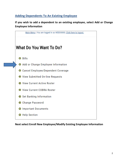## **Adding Dependents To An Existing Employee**

**If you wish to add a dependent to an existing employee, select Add or Change Employee Information**



**Next select Enroll New Employee/Modify Existing Employee Information**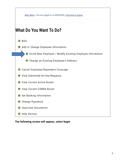

## **The following screen will appear, select begin**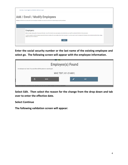| Main Menu   You are logged in as WEB30000; Click here to logout.                                                                                                                                                                                                     |  |
|----------------------------------------------------------------------------------------------------------------------------------------------------------------------------------------------------------------------------------------------------------------------|--|
| Add / Enroll / Modify Employees<br>Employers: with this form, you may enroll your new employee in benefits, or you may also use this form to make changes to existing employees.                                                                                     |  |
|                                                                                                                                                                                                                                                                      |  |
| Employers:                                                                                                                                                                                                                                                           |  |
| Before you begin, please gather all necessary information. You will not be able to save your progress and come back later, you must fill out and submit the form in the same session.                                                                                |  |
| You will be required to enter the employee's personal information, including: SSN, name, address, date of birth, and gender. You will also need to enter the employment information such as intended enrollment date, average<br>weekly hours, Division Number, etc. |  |
| <b>BEGIN</b>                                                                                                                                                                                                                                                         |  |

**Enter the social security number or the last name of the existing employee and select go. The following screen will appear with the employee information.** 

| Employee(s) Found<br>An employee was found. You can either edit this person or search again.          |             |  |  |             |  |
|-------------------------------------------------------------------------------------------------------|-------------|--|--|-------------|--|
| MIKE TEST (431-25-6001)                                                                               |             |  |  |             |  |
|                                                                                                       | <b>BACK</b> |  |  | <b>EDIT</b> |  |
| I your new employee in benefits, or you may also use this form to make changes to existing employees. |             |  |  |             |  |

**Select Edit. Then select the reason for the change from the drop down and tab over to enter the effective date.** 

**Select Continue**

**The following validation screen will appear:**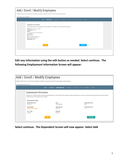| Add / Enroll / Modify Employees<br>Employers: with this form, you may enroll your new employee in benefits, or you may also use this form to make changes to existing employees. |                                                                                                                                                                                                                                                                                                                                                                                                                                              |  |  |  |  |
|----------------------------------------------------------------------------------------------------------------------------------------------------------------------------------|----------------------------------------------------------------------------------------------------------------------------------------------------------------------------------------------------------------------------------------------------------------------------------------------------------------------------------------------------------------------------------------------------------------------------------------------|--|--|--|--|
| Current selected member: MIKE TEST                                                                                                                                               | > <b>Census Info</b> > Employment Info > Dependents > Medical > COB > Beneficiaries > Review<br><b>Begin</b>                                                                                                                                                                                                                                                                                                                                 |  |  |  |  |
|                                                                                                                                                                                  | <b>Employee Information</b><br>Select the EDIT button below if changes need to be made. Otherwise, if all information is correct, select the CONTINUE button.<br>Member: MIKE TEST (M) - 431-25-6001<br>Date of Birth: 09/01/1977<br>Address:<br>1111 TEST AVE TEST CITY WA 98118 0000<br>Phone numbers:<br>$(H) - (111)$ 111-1111<br>(W) - No work phone number on file<br>(M) - No mobile number on file<br><b>Marital Status: Married</b> |  |  |  |  |
|                                                                                                                                                                                  | <b>EDIT</b><br><b>CONTINUE</b>                                                                                                                                                                                                                                                                                                                                                                                                               |  |  |  |  |

**Edit any information using the edit button as needed. Select continue. The following Employment Information Screen will appear:** 

|                                                                                                                           | Add / Enroll / Modify Employees                                                                                                                                                                                                                                             |                                     |                                    |  |  |  |  |
|---------------------------------------------------------------------------------------------------------------------------|-----------------------------------------------------------------------------------------------------------------------------------------------------------------------------------------------------------------------------------------------------------------------------|-------------------------------------|------------------------------------|--|--|--|--|
|                                                                                                                           |                                                                                                                                                                                                                                                                             |                                     |                                    |  |  |  |  |
|                                                                                                                           | Employers: with this form, you may enroll your new employee in benefits, or you may also use this form to make changes to existing employees.                                                                                                                               |                                     |                                    |  |  |  |  |
|                                                                                                                           | Current selected member: MIKE TEST                                                                                                                                                                                                                                          |                                     |                                    |  |  |  |  |
| <b>Employment Info</b> > Dependents > Medical > COB > Beneficiaries > Review<br>Census Info $\rightarrow$<br><b>Begin</b> |                                                                                                                                                                                                                                                                             |                                     |                                    |  |  |  |  |
|                                                                                                                           | <b>Employment Information</b>                                                                                                                                                                                                                                               |                                     |                                    |  |  |  |  |
|                                                                                                                           | Select the "edit" button below to add or update employment information as needed. Please note that Original Hire Date, Average Weekly Hours, and Class / Probation Code are required fields and must be completed.<br>Complete Division Code as applicable to your company. |                                     |                                    |  |  |  |  |
|                                                                                                                           | <b>Employment Data</b>                                                                                                                                                                                                                                                      |                                     |                                    |  |  |  |  |
|                                                                                                                           | Intended Effective Date:<br>10/01/2017                                                                                                                                                                                                                                      | Group:<br><b>TEST EMPLOYER</b>      | Average Weekly Hours:<br>40.00     |  |  |  |  |
|                                                                                                                           | <b>Division Number:</b><br>Division number is optional.                                                                                                                                                                                                                     | Original Hire Date:<br>08/01/2017   | Class/Probation Code:<br>$1 - ALL$ |  |  |  |  |
|                                                                                                                           | PT to FT date:<br>Not on file.                                                                                                                                                                                                                                              | <b>Rehire Date:</b><br>Not on file. |                                    |  |  |  |  |
|                                                                                                                           | <b>EDIT</b>                                                                                                                                                                                                                                                                 |                                     | <b>CONTINUE</b>                    |  |  |  |  |

**Select continue. The Dependent Screen will now appear- Select Add**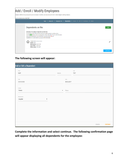| Add / Enroll / Modify Employees<br>Employers; with this form, you may enroll your new employee in benefits, or you may also use this form to make changes to existing employees.                                                                                                                                                                                                                                      |                 |  |  |  |  |
|-----------------------------------------------------------------------------------------------------------------------------------------------------------------------------------------------------------------------------------------------------------------------------------------------------------------------------------------------------------------------------------------------------------------------|-----------------|--|--|--|--|
| Current selected member: MIKE TEST                                                                                                                                                                                                                                                                                                                                                                                    |                 |  |  |  |  |
| <b>Dependents</b> > Medical > COB > Beneficiaries > Review<br>Census Info $\geq$ Employment Info $\geq$<br><b>Begin</b>                                                                                                                                                                                                                                                                                               |                 |  |  |  |  |
| Dependents on file:                                                                                                                                                                                                                                                                                                                                                                                                   | <b>ADD</b>      |  |  |  |  |
| Instructions: the employee's dependents are listed here.<br>You will choose who will be enrolled under the available group(s) in another section.<br>Click the ADD button to add a new dependent. Click on the edit $(\triangle)$ icon to edit information.<br>Newly added dependents can be deleted by clicking the delete ( $\blacksquare$ ) icon.<br>Dependents not covered under any group(s) will be terminated. |                 |  |  |  |  |
| CONNIE TEST (121-21-2121)<br>E.<br><b>Relation: Wife</b><br>Marriage Date: 06/22/1994<br>Date of Birth: 11/02/1972<br>Effective Date: 10/01/2017                                                                                                                                                                                                                                                                      |                 |  |  |  |  |
|                                                                                                                                                                                                                                                                                                                                                                                                                       | <b>CONTINUE</b> |  |  |  |  |

## **The following screen will appear:**

| and or Edit a Dependent |                    |            |              |        |                 |
|-------------------------|--------------------|------------|--------------|--------|-----------------|
| First<br>BABY           | Middle             |            | Last<br>TEST |        |                 |
| SSN                     |                    | DOB        |              |        |                 |
| 333-33-3333             |                    | 08/26/2017 |              |        |                 |
| Gender<br>Female        | $\pmb{\mathrm{v}}$ | Phone      |              |        |                 |
| Relationship            |                    |            |              |        |                 |
| Daughter<br>۷.          |                    |            |              |        |                 |
|                         |                    |            |              |        |                 |
|                         |                    |            |              |        |                 |
|                         |                    |            |              |        |                 |
|                         |                    |            |              | CANCEL | <b>CONTINUE</b> |

**Complete the information and select continue. The following confirmation page will appear displaying all dependents for the employee:**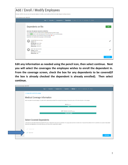

**Edit any information as needed using the pencil icon, then select continue. Next you will select the coverages the employee wishes to enroll the dependent in. From the coverage screen, check the box for any dependents to be covered(if the box is already checked the dependent is already enrolled). Then select continue.**

| I no longer wish to enroll in this coverage. |                                                                                                                                                                                                                                                                                                                                |
|----------------------------------------------|--------------------------------------------------------------------------------------------------------------------------------------------------------------------------------------------------------------------------------------------------------------------------------------------------------------------------------|
|                                              | Medical Coverage Information                                                                                                                                                                                                                                                                                                   |
|                                              | Select one option from each category. An option will be automatically selected if the employee had coverage in the previous year or if it is the only option in the category.                                                                                                                                                  |
|                                              | Medical (selectione)                                                                                                                                                                                                                                                                                                           |
|                                              | <b>M40</b>                                                                                                                                                                                                                                                                                                                     |
|                                              | BLIFE - Member only benefit (select one)                                                                                                                                                                                                                                                                                       |
|                                              | <b>BASIC LIFE 15,000</b>                                                                                                                                                                                                                                                                                                       |
|                                              |                                                                                                                                                                                                                                                                                                                                |
|                                              | <b>Select Covered Dependents</b>                                                                                                                                                                                                                                                                                               |
|                                              | Listed below are dependents that will be enrolled in this group. If dependents were previously enrolled in this group, they must remain enrolled until a "Dependent Cancellation Form" is submitted and accepted. Newly added<br>dependents and dependents not enrolled in this group can be enrolled or unenrolled as needed. |
| CONNIE TEST                                  |                                                                                                                                                                                                                                                                                                                                |
| $\checkmark$<br><b>BABY TEST</b>             |                                                                                                                                                                                                                                                                                                                                |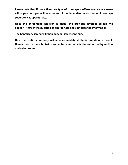**Please note that if more than one type of coverage is offered-separate screens will appear and you will need to enroll the dependent in each type of coverage seperately as appropriate.**

**Once the enrollment selection is made- the previous coverage screen will appear. Answer the question as appropriate and complete the information.**

**The beneficary screen will then appear- select continue.**

**Next the confirmation page will appear- validate all the information is correct, then authorize the submission and enter your name in the submitted by section and select submit.**